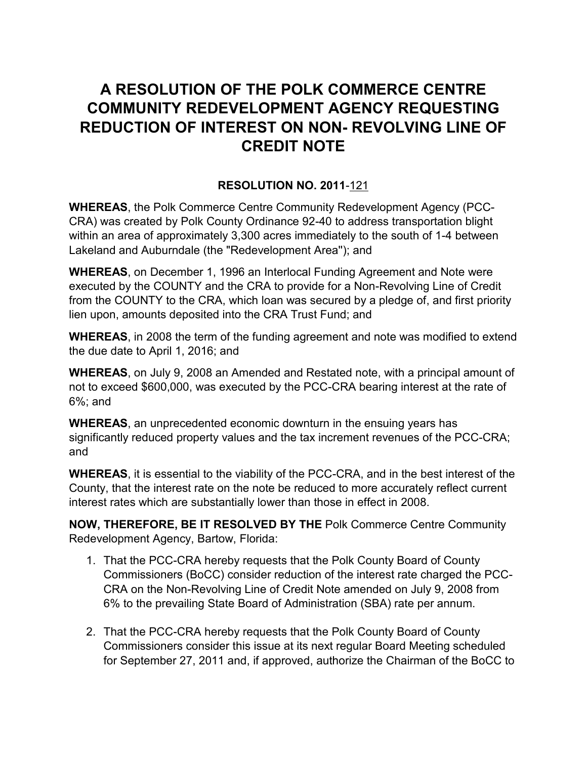## **A RESOLUTION OF THE POLK COMMERCE CENTRE COMMUNITY REDEVELOPMENT AGENCY REQUESTING REDUCTION OF INTEREST ON NON- REVOLVING LINE OF CREDIT NOTE**

## **RESOLUTION NO. 2011**-121

**WHEREAS**, the Polk Commerce Centre Community Redevelopment Agency (PCC-CRA) was created by Polk County Ordinance 92-40 to address transportation blight within an area of approximately 3,300 acres immediately to the south of 1-4 between Lakeland and Auburndale (the "Redevelopment Area''); and

**WHEREAS**, on December 1, 1996 an Interlocal Funding Agreement and Note were executed by the COUNTY and the CRA to provide for a Non-Revolving Line of Credit from the COUNTY to the CRA, which loan was secured by a pledge of, and first priority lien upon, amounts deposited into the CRA Trust Fund; and

**WHEREAS**, in 2008 the term of the funding agreement and note was modified to extend the due date to April 1, 2016; and

**WHEREAS**, on July 9, 2008 an Amended and Restated note, with a principal amount of not to exceed \$600,000, was executed by the PCC-CRA bearing interest at the rate of 6%; and

**WHEREAS**, an unprecedented economic downturn in the ensuing years has significantly reduced property values and the tax increment revenues of the PCC-CRA; and

**WHEREAS**, it is essential to the viability of the PCC-CRA, and in the best interest of the County, that the interest rate on the note be reduced to more accurately reflect current interest rates which are substantially lower than those in effect in 2008.

**NOW, THEREFORE, BE IT RESOLVED BY THE** Polk Commerce Centre Community Redevelopment Agency, Bartow, Florida:

- 1. That the PCC-CRA hereby requests that the Polk County Board of County Commissioners (BoCC) consider reduction of the interest rate charged the PCC-CRA on the Non-Revolving Line of Credit Note amended on July 9, 2008 from 6% to the prevailing State Board of Administration (SBA) rate per annum.
- 2. That the PCC-CRA hereby requests that the Polk County Board of County Commissioners consider this issue at its next regular Board Meeting scheduled for September 27, 2011 and, if approved, authorize the Chairman of the BoCC to